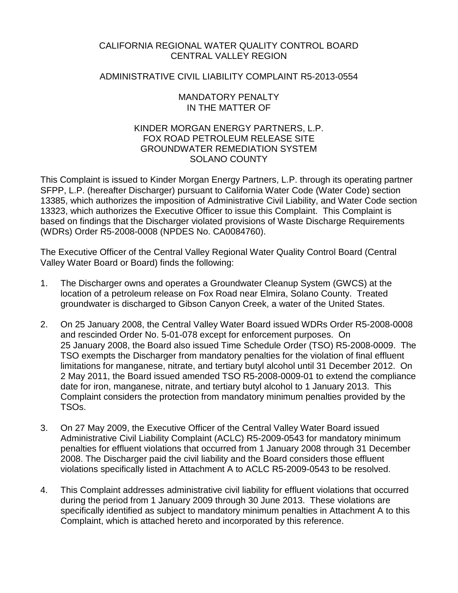## CALIFORNIA REGIONAL WATER QUALITY CONTROL BOARD CENTRAL VALLEY REGION

## ADMINISTRATIVE CIVIL LIABILITY COMPLAINT R5-2013-0554

## MANDATORY PENALTY IN THE MATTER OF

## KINDER MORGAN ENERGY PARTNERS, L.P. FOX ROAD PETROLEUM RELEASE SITE GROUNDWATER REMEDIATION SYSTEM SOLANO COUNTY

This Complaint is issued to Kinder Morgan Energy Partners, L.P. through its operating partner SFPP, L.P. (hereafter Discharger) pursuant to California Water Code (Water Code) section 13385, which authorizes the imposition of Administrative Civil Liability, and Water Code section 13323, which authorizes the Executive Officer to issue this Complaint. This Complaint is based on findings that the Discharger violated provisions of Waste Discharge Requirements (WDRs) Order R5-2008-0008 (NPDES No. CA0084760).

The Executive Officer of the Central Valley Regional Water Quality Control Board (Central Valley Water Board or Board) finds the following:

- 1. The Discharger owns and operates a Groundwater Cleanup System (GWCS) at the location of a petroleum release on Fox Road near Elmira, Solano County. Treated groundwater is discharged to Gibson Canyon Creek, a water of the United States.
- 2. On 25 January 2008, the Central Valley Water Board issued WDRs Order R5-2008-0008 and rescinded Order No. 5-01-078 except for enforcement purposes. On 25 January 2008, the Board also issued Time Schedule Order (TSO) R5-2008-0009. The TSO exempts the Discharger from mandatory penalties for the violation of final effluent limitations for manganese, nitrate, and tertiary butyl alcohol until 31 December 2012. On 2 May 2011, the Board issued amended TSO R5-2008-0009-01 to extend the compliance date for iron, manganese, nitrate, and tertiary butyl alcohol to 1 January 2013. This Complaint considers the protection from mandatory minimum penalties provided by the TSOs.
- 3. On 27 May 2009, the Executive Officer of the Central Valley Water Board issued Administrative Civil Liability Complaint (ACLC) R5-2009-0543 for mandatory minimum penalties for effluent violations that occurred from 1 January 2008 through 31 December 2008. The Discharger paid the civil liability and the Board considers those effluent violations specifically listed in Attachment A to ACLC R5-2009-0543 to be resolved.
- 4. This Complaint addresses administrative civil liability for effluent violations that occurred during the period from 1 January 2009 through 30 June 2013. These violations are specifically identified as subject to mandatory minimum penalties in Attachment A to this Complaint, which is attached hereto and incorporated by this reference.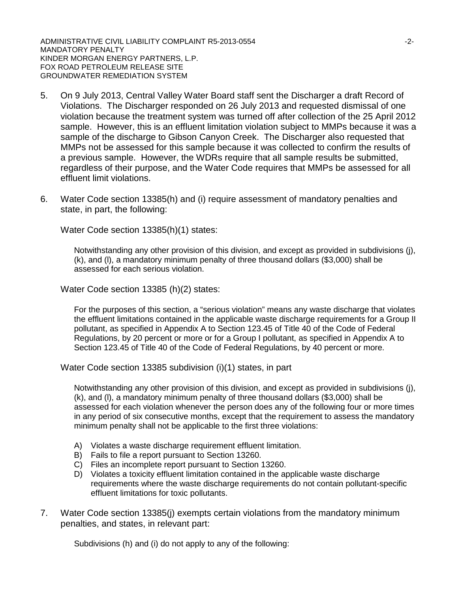ADMINISTRATIVE CIVIL LIABILITY COMPLAINT R5-2013-0554 FOR AN INTERNATIVE COMPLAINT RS-2013-0554 MANDATORY PENALTY KINDER MORGAN ENERGY PARTNERS, L.P. FOX ROAD PETROLEUM RELEASE SITE GROUNDWATER REMEDIATION SYSTEM

- 5. On 9 July 2013, Central Valley Water Board staff sent the Discharger a draft Record of Violations. The Discharger responded on 26 July 2013 and requested dismissal of one violation because the treatment system was turned off after collection of the 25 April 2012 sample. However, this is an effluent limitation violation subject to MMPs because it was a sample of the discharge to Gibson Canyon Creek. The Discharger also requested that MMPs not be assessed for this sample because it was collected to confirm the results of a previous sample. However, the WDRs require that all sample results be submitted, regardless of their purpose, and the Water Code requires that MMPs be assessed for all effluent limit violations.
- 6. Water Code section 13385(h) and (i) require assessment of mandatory penalties and state, in part, the following:

Water Code section 13385(h)(1) states:

Notwithstanding any other provision of this division, and except as provided in subdivisions (j), (k), and (l), a mandatory minimum penalty of three thousand dollars (\$3,000) shall be assessed for each serious violation.

Water Code section 13385 (h)(2) states:

For the purposes of this section, a "serious violation" means any waste discharge that violates the effluent limitations contained in the applicable waste discharge requirements for a Group II pollutant, as specified in Appendix A to Section 123.45 of Title 40 of the Code of Federal Regulations, by 20 percent or more or for a Group I pollutant, as specified in Appendix A to Section 123.45 of Title 40 of the Code of Federal Regulations, by 40 percent or more.

Water Code section 13385 subdivision (i)(1) states, in part

Notwithstanding any other provision of this division, and except as provided in subdivisions (j), (k), and (l), a mandatory minimum penalty of three thousand dollars (\$3,000) shall be assessed for each violation whenever the person does any of the following four or more times in any period of six consecutive months, except that the requirement to assess the mandatory minimum penalty shall not be applicable to the first three violations:

- A) Violates a waste discharge requirement effluent limitation.
- B) Fails to file a report pursuant to Section 13260.
- C) Files an incomplete report pursuant to Section 13260.
- D) Violates a toxicity effluent limitation contained in the applicable waste discharge requirements where the waste discharge requirements do not contain pollutant-specific effluent limitations for toxic pollutants.
- 7. Water Code section 13385(j) exempts certain violations from the mandatory minimum penalties, and states, in relevant part:

Subdivisions (h) and (i) do not apply to any of the following: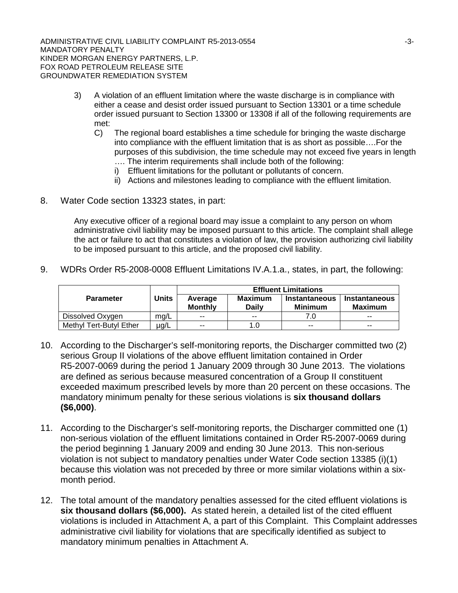ADMINISTRATIVE CIVIL LIABILITY COMPLAINT R5-2013-0554 **ADMINISTRATIVE CIVIL** MANDATORY PENALTY KINDER MORGAN ENERGY PARTNERS, L.P. FOX ROAD PETROLEUM RELEASE SITE GROUNDWATER REMEDIATION SYSTEM

- 3) A violation of an effluent limitation where the waste discharge is in compliance with either a cease and desist order issued pursuant to Section 13301 or a time schedule order issued pursuant to Section 13300 or 13308 if all of the following requirements are met:
	- C) The regional board establishes a time schedule for bringing the waste discharge into compliance with the effluent limitation that is as short as possible….For the purposes of this subdivision, the time schedule may not exceed five years in length …. The interim requirements shall include both of the following:
		- i) Effluent limitations for the pollutant or pollutants of concern.
		- ii) Actions and milestones leading to compliance with the effluent limitation.
- 8. Water Code section 13323 states, in part:

Any executive officer of a regional board may issue a complaint to any person on whom administrative civil liability may be imposed pursuant to this article. The complaint shall allege the act or failure to act that constitutes a violation of law, the provision authorizing civil liability to be imposed pursuant to this article, and the proposed civil liability.

9. WDRs Order R5-2008-0008 Effluent Limitations IV.A.1.a., states, in part, the following:

|                         | <b>Units</b> | <b>Effluent Limitations</b> |                                |                                        |                                        |  |  |
|-------------------------|--------------|-----------------------------|--------------------------------|----------------------------------------|----------------------------------------|--|--|
| <b>Parameter</b>        |              | Average<br><b>Monthly</b>   | <b>Maximum</b><br><b>Daily</b> | <b>Instantaneous</b><br><b>Minimum</b> | <b>Instantaneous</b><br><b>Maximum</b> |  |  |
| Dissolved Oxygen        | mg/L         | $- -$                       | $- -$                          | 7.0                                    | $- -$                                  |  |  |
| Methyl Tert-Butyl Ether | $\mu$ g/L    | $-$                         | 1.0                            | $\sim$                                 | $\sim$                                 |  |  |

- 10. According to the Discharger's self-monitoring reports, the Discharger committed two (2) serious Group II violations of the above effluent limitation contained in Order R5-2007-0069 during the period 1 January 2009 through 30 June 2013. The violations are defined as serious because measured concentration of a Group II constituent exceeded maximum prescribed levels by more than 20 percent on these occasions. The mandatory minimum penalty for these serious violations is **six thousand dollars (\$6,000)**.
- 11. According to the Discharger's self-monitoring reports, the Discharger committed one (1) non-serious violation of the effluent limitations contained in Order R5-2007-0069 during the period beginning 1 January 2009 and ending 30 June 2013. This non-serious violation is not subject to mandatory penalties under Water Code section 13385 (i)(1) because this violation was not preceded by three or more similar violations within a sixmonth period.
- 12. The total amount of the mandatory penalties assessed for the cited effluent violations is **six thousand dollars (\$6,000).** As stated herein, a detailed list of the cited effluent violations is included in Attachment A, a part of this Complaint. This Complaint addresses administrative civil liability for violations that are specifically identified as subject to mandatory minimum penalties in Attachment A.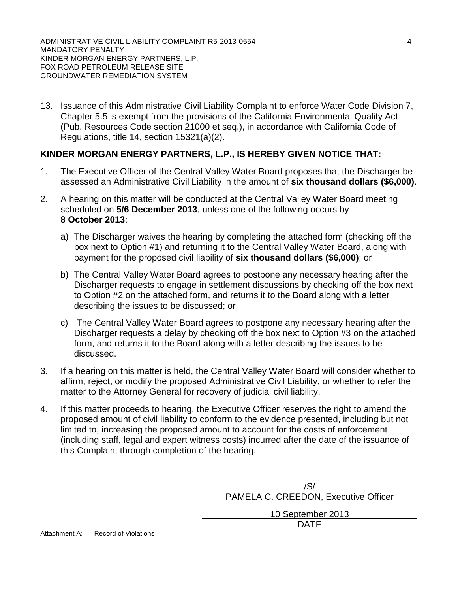13. Issuance of this Administrative Civil Liability Complaint to enforce Water Code Division 7, Chapter 5.5 is exempt from the provisions of the California Environmental Quality Act (Pub. Resources Code section 21000 et seq.), in accordance with California Code of Regulations, title 14, section 15321(a)(2).

# **KINDER MORGAN ENERGY PARTNERS, L.P., IS HEREBY GIVEN NOTICE THAT:**

- 1. The Executive Officer of the Central Valley Water Board proposes that the Discharger be assessed an Administrative Civil Liability in the amount of **six thousand dollars (\$6,000)**.
- 2. A hearing on this matter will be conducted at the Central Valley Water Board meeting scheduled on **5/6 December 2013**, unless one of the following occurs by **8 October 2013**:
	- a) The Discharger waives the hearing by completing the attached form (checking off the box next to Option #1) and returning it to the Central Valley Water Board, along with payment for the proposed civil liability of **six thousand dollars (\$6,000)**; or
	- b) The Central Valley Water Board agrees to postpone any necessary hearing after the Discharger requests to engage in settlement discussions by checking off the box next to Option #2 on the attached form, and returns it to the Board along with a letter describing the issues to be discussed; or
	- c) The Central Valley Water Board agrees to postpone any necessary hearing after the Discharger requests a delay by checking off the box next to Option #3 on the attached form, and returns it to the Board along with a letter describing the issues to be discussed.
- 3. If a hearing on this matter is held, the Central Valley Water Board will consider whether to affirm, reject, or modify the proposed Administrative Civil Liability, or whether to refer the matter to the Attorney General for recovery of judicial civil liability.
- 4. If this matter proceeds to hearing, the Executive Officer reserves the right to amend the proposed amount of civil liability to conform to the evidence presented, including but not limited to, increasing the proposed amount to account for the costs of enforcement (including staff, legal and expert witness costs) incurred after the date of the issuance of this Complaint through completion of the hearing.

/S/ PAMELA C. CREEDON, Executive Officer

> 10 September 2013 DATE

Attachment A: Record of Violations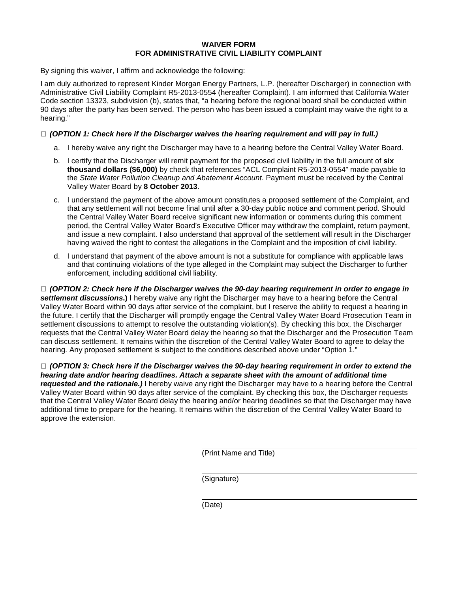### **WAIVER FORM FOR ADMINISTRATIVE CIVIL LIABILITY COMPLAINT**

By signing this waiver, I affirm and acknowledge the following:

I am duly authorized to represent Kinder Morgan Energy Partners, L.P. (hereafter Discharger) in connection with Administrative Civil Liability Complaint R5-2013-0554 (hereafter Complaint). I am informed that California Water Code section 13323, subdivision (b), states that, "a hearing before the regional board shall be conducted within 90 days after the party has been served. The person who has been issued a complaint may waive the right to a hearing."

### **□** *(OPTION 1: Check here if the Discharger waives the hearing requirement and will pay in full.)*

- a. I hereby waive any right the Discharger may have to a hearing before the Central Valley Water Board.
- b. I certify that the Discharger will remit payment for the proposed civil liability in the full amount of **six thousand dollars (\$6,000)** by check that references "ACL Complaint R5-2013-0554" made payable to the *State Water Pollution Cleanup and Abatement Account*. Payment must be received by the Central Valley Water Board by **8 October 2013**.
- c. I understand the payment of the above amount constitutes a proposed settlement of the Complaint, and that any settlement will not become final until after a 30-day public notice and comment period. Should the Central Valley Water Board receive significant new information or comments during this comment period, the Central Valley Water Board's Executive Officer may withdraw the complaint, return payment, and issue a new complaint. I also understand that approval of the settlement will result in the Discharger having waived the right to contest the allegations in the Complaint and the imposition of civil liability.
- d. I understand that payment of the above amount is not a substitute for compliance with applicable laws and that continuing violations of the type alleged in the Complaint may subject the Discharger to further enforcement, including additional civil liability.

**□** *(OPTION 2: Check here if the Discharger waives the 90-day hearing requirement in order to engage in settlement discussions***.)** I hereby waive any right the Discharger may have to a hearing before the Central Valley Water Board within 90 days after service of the complaint, but I reserve the ability to request a hearing in the future. I certify that the Discharger will promptly engage the Central Valley Water Board Prosecution Team in settlement discussions to attempt to resolve the outstanding violation(s). By checking this box, the Discharger requests that the Central Valley Water Board delay the hearing so that the Discharger and the Prosecution Team can discuss settlement. It remains within the discretion of the Central Valley Water Board to agree to delay the hearing. Any proposed settlement is subject to the conditions described above under "Option 1."

**□** *(OPTION 3: Check here if the Discharger waives the 90-day hearing requirement in order to extend the hearing date and/or hearing deadlines. Attach a separate sheet with the amount of additional time requested and the rationale.)* I hereby waive any right the Discharger may have to a hearing before the Central Valley Water Board within 90 days after service of the complaint. By checking this box, the Discharger requests that the Central Valley Water Board delay the hearing and/or hearing deadlines so that the Discharger may have additional time to prepare for the hearing. It remains within the discretion of the Central Valley Water Board to approve the extension.

(Print Name and Title)

(Signature)

(Date)